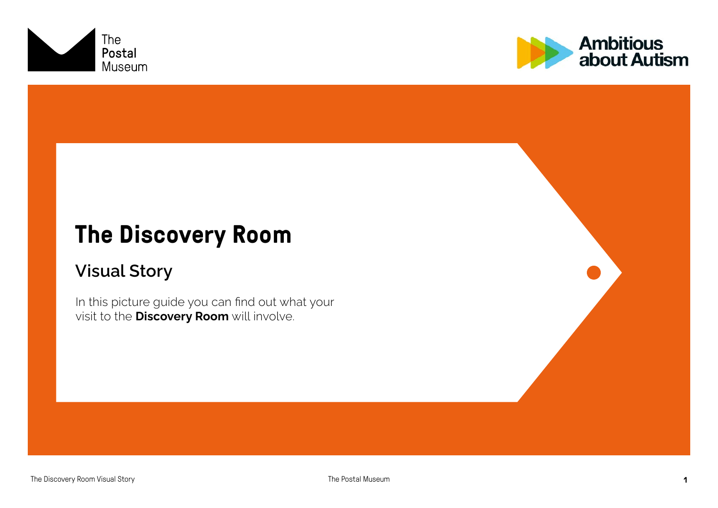



### **The Discovery Room**

#### Visual Story

In this picture guide you can find out what your visit to the **Discovery Room** will involve.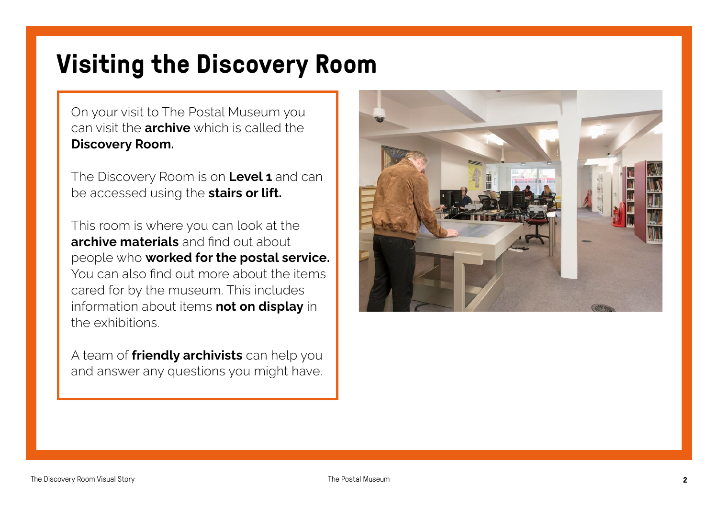# **Visiting the Discovery Room**

On your visit to The Postal Museum you can visit the **archive** which is called the Discovery Room.

The Discovery Room is on Level 1 and can be accessed using the **stairs or lift.** 

This room is where you can look at the archive materials and find out about people who worked for the postal service. You can also find out more about the items cared for by the museum. This includes information about items not on display in the exhibitions.

A team of **friendly archivists** can help you and answer any questions you might have.

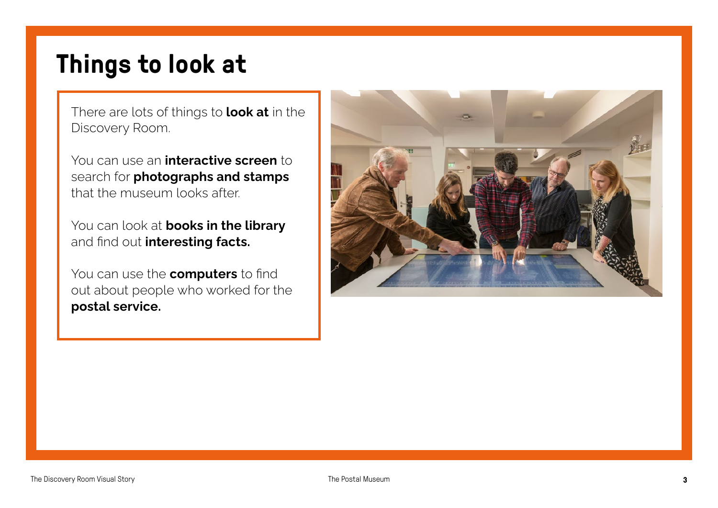# **Things to look at**

There are lots of things to look at in the Discovery Room.

You can use an *interactive screen* to search for **photographs and stamps** that the museum looks after.

You can look at **books in the library** and find out interesting facts.

You can use the **computers** to find out about people who worked for the postal service.

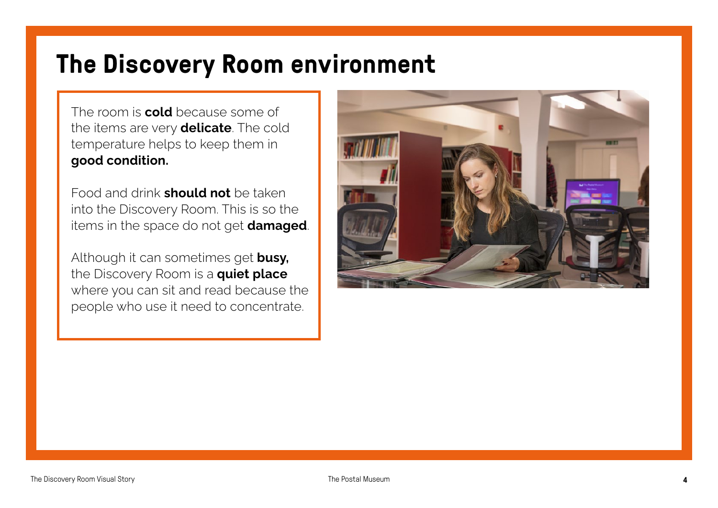# **The Discovery Room environment**

The room is **cold** because some of the items are very **delicate**. The cold temperature helps to keep them in good condition.

Food and drink **should not** be taken into the Discovery Room. This is so the items in the space do not get **damaged**.

Although it can sometimes get **busy**, the Discovery Room is a quiet place where you can sit and read because the people who use it need to concentrate.